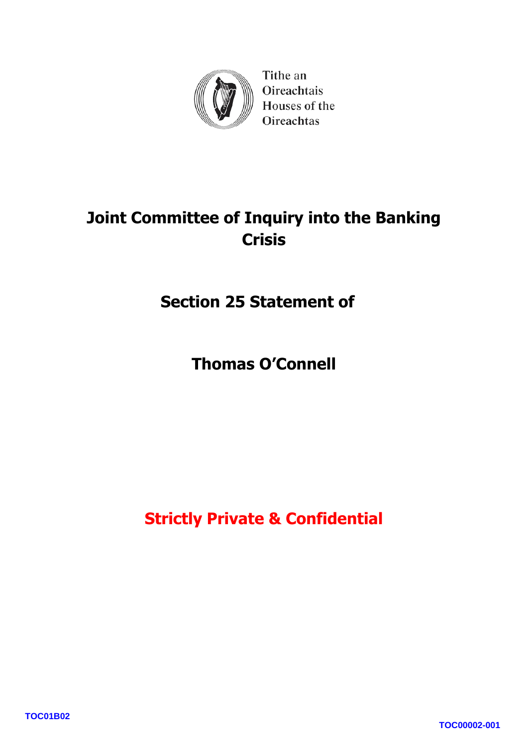

Tithe an Oireachtais Houses of the Oireachtas

# **Joint Committee of Inquiry into the Banking Crisis**

**Section 25 Statement of** 

**Thomas O 'Connell** 

**Strictly Private & Confidential**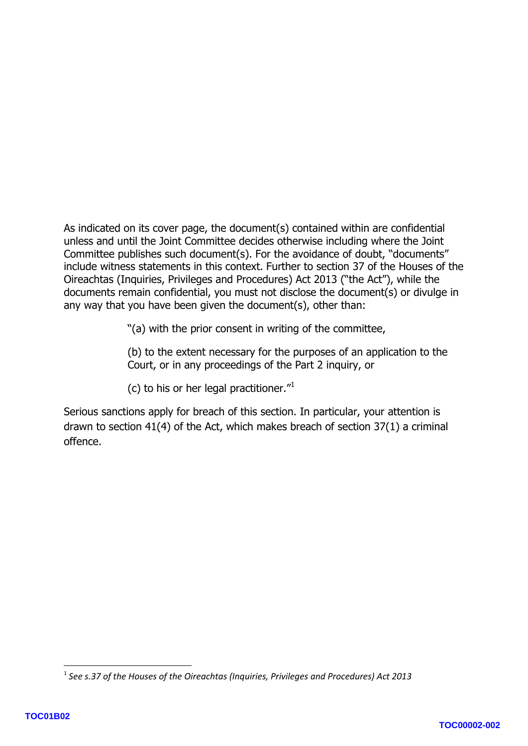As indicated on its cover page, the document(s) contained within are confidential unless and until the Joint Committee decides otherwise including where the Joint Committee publishes such document(s). For the avoidance of doubt, "documents" include witness statements in this context. Further to section 37 of the Houses of the Oireachtas (Inquiries, Privileges and Procedures) Act 2013 ("the Act"), while the documents remain confidential, you must not disclose the document(s) or divulge in any way that you have been given the document(s), other than:

"(a) with the prior consent in writing of the committee,

(b) to the extent necessary for the purposes of an application to the Court, or in any proceedings of the Part 2 inquiry, or

(c) to his or her legal practitioner. $1/1$ 

Serious sanctions apply for breach of this section. In particular, your attention is drawn to section 41(4) of the Act, which makes breach of section 37(1) a criminal offence.

**.** 

<sup>1</sup> *See s.37 of the Houses of the Oireachtas (Inquiries, Privileges and Procedures) Act 2013*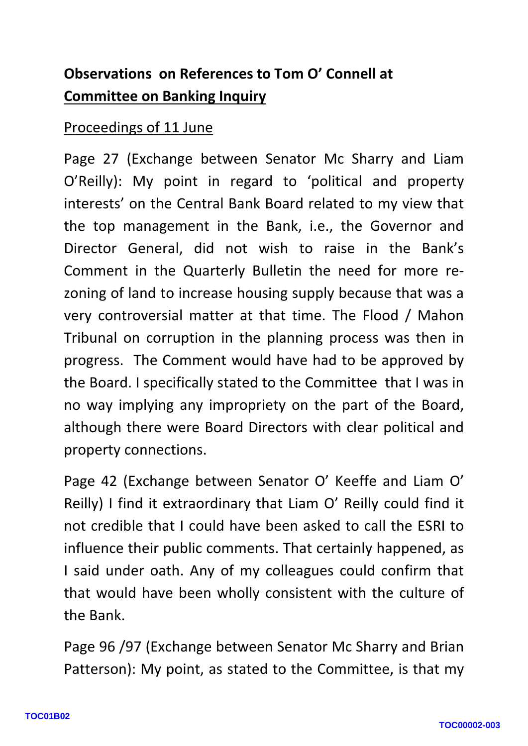## **Observations on References to Tom O' Connell at Committee on Banking Inquiry**

#### Proceedings of 11 June

Page 27 (Exchange between Senator Mc Sharry and Liam O'Reilly): My point in regard to 'political and property interests' on the Central Bank Board related to my view that the top management in the Bank, i.e., the Governor and Director General, did not wish to raise in the Bank's Comment in the Quarterly Bulletin the need for more re zoning of land to increase housing supply because that was a very controversial matter at that time. The Flood / Mahon Tribunal on corruption in the planning process was then in progress. The Comment would have had to be approved by the Board. I specifically stated to the Committee that I was in no way implying any impropriety on the part of the Board, although there were Board Directors with clear political and property connections.

Page 42 (Exchange between Senator O' Keeffe and Liam O' Reilly) I find it extraordinary that Liam O' Reilly could find it not credible that I could have been asked to call the ESRI to influence their public comments. That certainly happened, as I said under oath. Any of my colleagues could confirm that that would have been wholly consistent with the culture of the Bank.

Page 96 /97 (Exchange between Senator Mc Sharry and Brian Patterson): My point, as stated to the Committee, is that my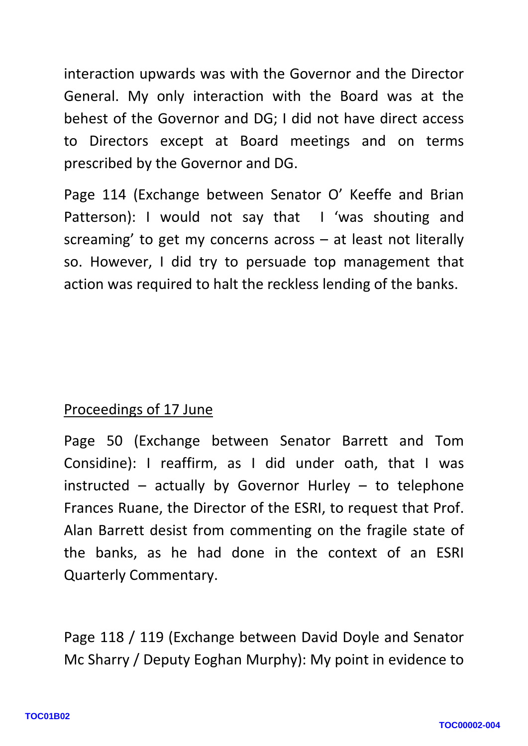interaction upwards was with the Governor and the Director General. My only interaction with the Board was at the behest of the Governor and DG; I did not have direct access to Directors except at Board meetings and on terms prescribed by the Governor and DG.

Page 114 (Exchange between Senator O' Keeffe and Brian Patterson): I would not say that I 'was shouting and screaming' to get my concerns across – at least not literally so. However, I did try to persuade top management that action was required to halt the reckless lending of the banks.

### Proceedings of 17 June

Page 50 (Exchange between Senator Barrett and Tom Considine): I reaffirm, as I did under oath, that I was instructed – actually by Governor Hurley – to telephone Frances Ruane, the Director of the ESRI, to request that Prof. Alan Barrett desist from commenting on the fragile state of the banks, as he had done in the context of an ESRI Quarterly Commentary.

Page 118 / 119 (Exchange between David Doyle and Senator Mc Sharry / Deputy Eoghan Murphy): My point in evidence to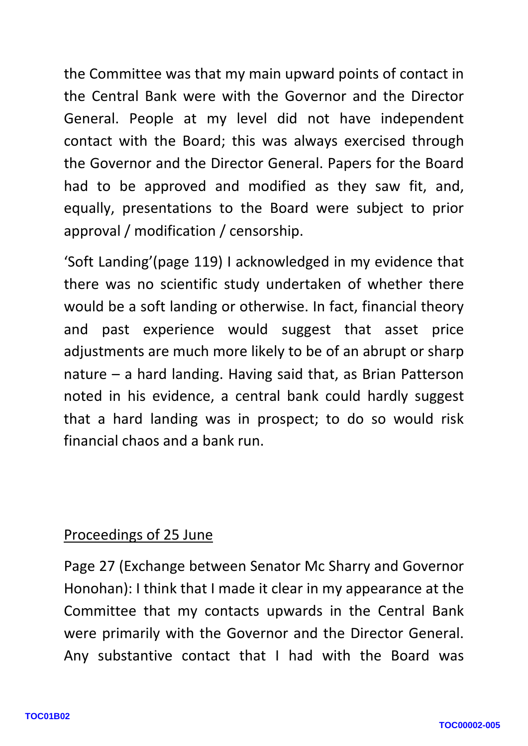the Committee was that my main upward points of contact in the Central Bank were with the Governor and the Director General. People at my level did not have independent contact with the Board; this was always exercised through the Governor and the Director General. Papers for the Board had to be approved and modified as they saw fit, and, equally, presentations to the Board were subject to prior approval / modification / censorship.

'Soft Landing'(page 119) I acknowledged in my evidence that there was no scientific study undertaken of whether there would be a soft landing or otherwise. In fact, financial theory and past experience would suggest that asset price adjustments are much more likely to be of an abrupt or sharp nature – a hard landing. Having said that, as Brian Patterson note d in his evidence, a central bank could hardly suggest that a hard landing was in prospect; to do so would risk financial chaos and a bank run.

#### Proceedings of 25 June

Page 2 7 (Exchange between Senator Mc Sharry and Governor Honohan): I think that I made it clear in my appearance at the Committee that my contacts upwards in the Central Bank were primarily with the Governor and the Director General. Any substantive contact that I had with the Board was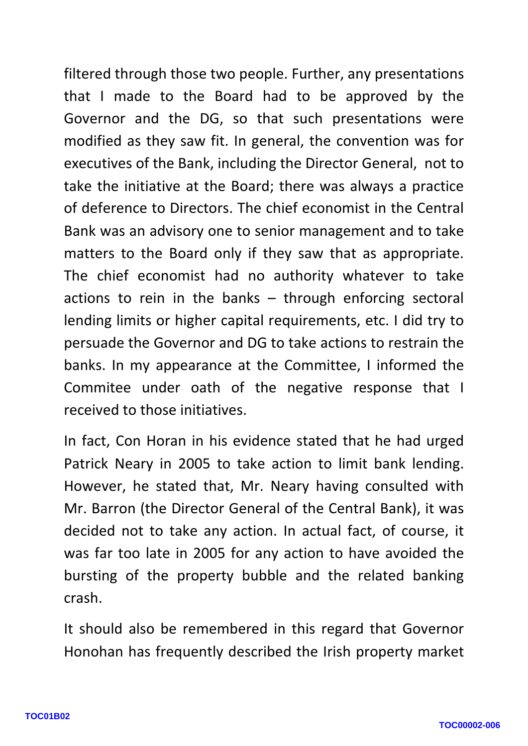filtered through those two people. Further, any presentations that I made to the Board had to be approved by the Governor and the DG, so that such presentations were modified as they saw fit. In general, the convention was for executives of the Bank, including the Director General, not to take the initiative at the Board; there was always a practice of deference to Directors. The chief economist in the Central Bank was an advisory one to senior management and to take matters to the Board only if they saw that as appropriate. The chief economist had no authority whatever to take actions to rein in the banks – through enforcing sectoral lending limits or higher capital requirements, etc. I did try to persuade the Governor and DG to take actions to restrain the banks. In my appearance at the Committee, I informed the Commitee under oath of the negative response that I received to those initiatives.

In fact, Con Horan in his evidence stated that he had urged Patrick Neary in 2005 to take action to limit bank lending. However, he stated that, Mr. Neary having consulted with Mr. Barron (the Director General of the Central Bank), it was decided not to take any action. In actual fact, of course, it was far too late in 2005 for any action to have avoided the bursting of the property bubble and the related banking crash.

It should also be remembered in this regard that Governor Honohan has frequently described the Irish property market